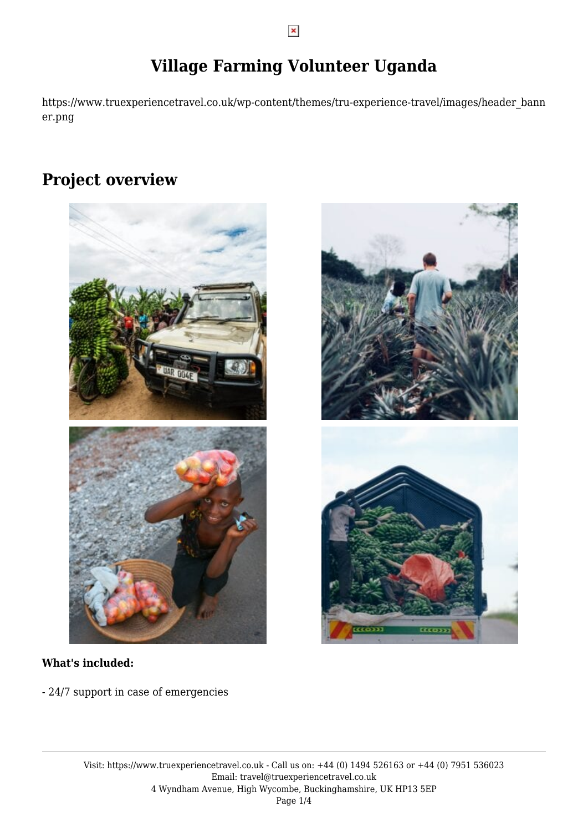# **Village Farming Volunteer Uganda**

https://www.truexperiencetravel.co.uk/wp-content/themes/tru-experience-travel/images/header\_bann er.png

# **Project overview**



### **What's included:**

- 24/7 support in case of emergencies



Visit: https://www.truexperiencetravel.co.uk - Call us on: +44 (0) 1494 526163 or +44 (0) 7951 536023 Email: travel@truexperiencetravel.co.uk 4 Wyndham Avenue, High Wycombe, Buckinghamshire, UK HP13 5EP Page 1/4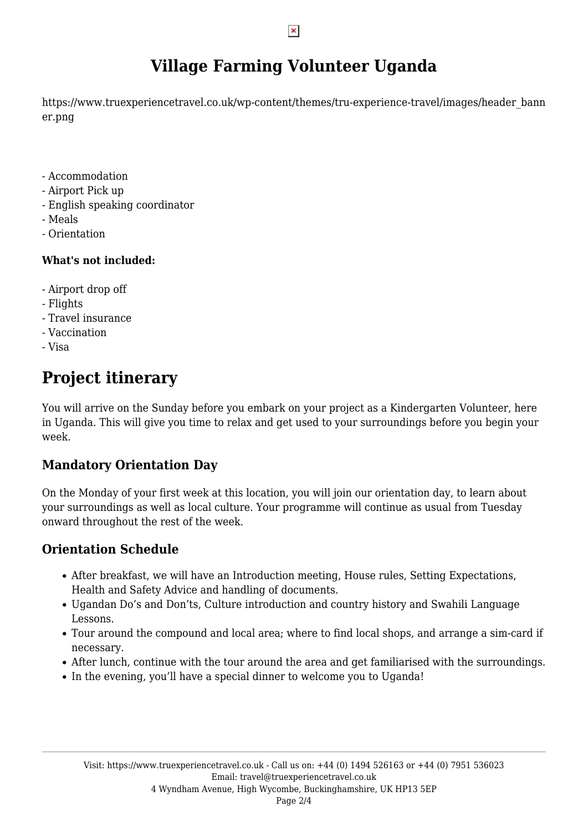# **Village Farming Volunteer Uganda**

https://www.truexperiencetravel.co.uk/wp-content/themes/tru-experience-travel/images/header\_bann er.png

- Accommodation
- Airport Pick up
- English speaking coordinator
- Meals
- Orientation

### **What's not included:**

- Airport drop off
- Flights
- Travel insurance
- Vaccination
- Visa

# **Project itinerary**

You will arrive on the Sunday before you embark on your project as a Kindergarten Volunteer, here in Uganda. This will give you time to relax and get used to your surroundings before you begin your week.

### **Mandatory Orientation Day**

On the Monday of your first week at this location, you will join our orientation day, to learn about your surroundings as well as local culture. Your programme will continue as usual from Tuesday onward throughout the rest of the week.

### **Orientation Schedule**

- After breakfast, we will have an Introduction meeting, House rules, Setting Expectations, Health and Safety Advice and handling of documents.
- Ugandan Do's and Don'ts, Culture introduction and country history and Swahili Language Lessons.
- Tour around the compound and local area; where to find local shops, and arrange a sim-card if necessary.
- After lunch, continue with the tour around the area and get familiarised with the surroundings.
- In the evening, you'll have a special dinner to welcome you to Uganda!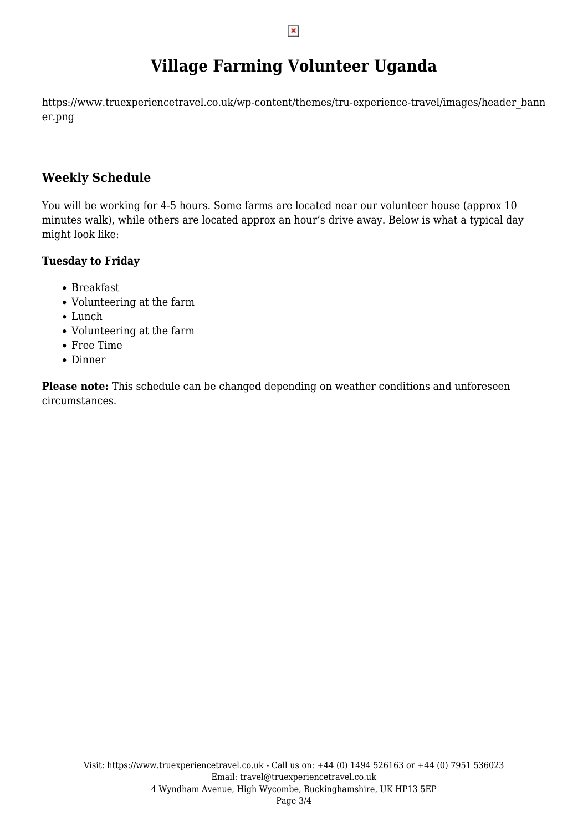# **Village Farming Volunteer Uganda**

https://www.truexperiencetravel.co.uk/wp-content/themes/tru-experience-travel/images/header\_bann er.png

### **Weekly Schedule**

You will be working for 4-5 hours. Some farms are located near our volunteer house (approx 10 minutes walk), while others are located approx an hour's drive away. Below is what a typical day might look like:

### **Tuesday to Friday**

- Breakfast
- Volunteering at the farm
- Lunch
- Volunteering at the farm
- Free Time
- Dinner

**Please note:** This schedule can be changed depending on weather conditions and unforeseen circumstances.